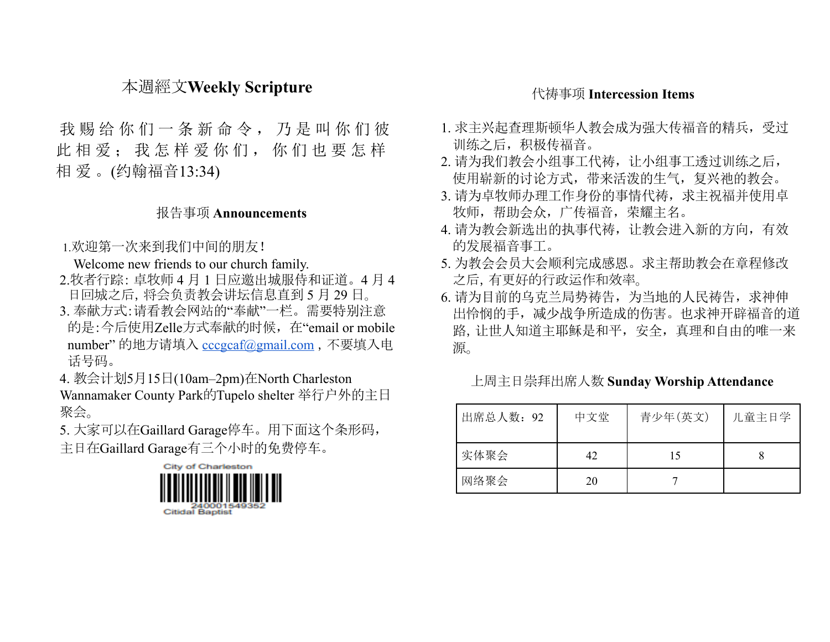## 本週經文**Weekly Scripture**

我 赐 给 你 们 一 条 新 命 令 , 乃 是 叫 你 们 彼 此 相 爱: 我 怎 样 爱 你 们, 你 们 也 要 怎 样 相 爱 。(约翰福音13:34)

#### 报告事项 **Announcements**

1.欢迎第一次来到我们中间的朋友!

Welcome new friends to our church family.

- 2.牧者行踪: 卓牧师 4 月 1 日应邀出城服侍和证道。4 月 4 日回城之后,将会负责教会讲坛信息直到 5 月 29 日。
- 3. 奉献方式:请看教会网站的"奉献"一栏。需要特别注意 的是:今后使用Zelle方式奉献的时候,在"email or mobile number" 的地方请填入 [cccgcaf@gmail.com](mailto:cccgcaf@gmail.com) ,不要填入电 话号码。

4. 教会计划5月15日(10am–2pm)在North Charleston

Wannamaker County Park的Tupelo shelter 举行户外的主日 聚会。

5. 大家可以在Gaillard Garage停车。用下面这个条形码, 主日在Gaillard Garage有三个小时的免费停车。



### 代祷事项 **Intercession Items**

- 1. 求主兴起查理斯顿华人教会成为强大传福音的精兵,受过 训练之后,积极传福音。
- 2. 请为我们教会小组事工代祷, 让小组事工透过训练之后, 使用崭新的讨论方式,带来活泼的生气,复兴祂的教会。
- 3. 请为卓牧师办理工作身份的事情代祷,求主祝福并使用卓 牧师,帮助会众,广传福音,荣耀主名。
- 4. 请为教会新选出的执事代祷,让教会进入新的方向,有效 的发展福音事工。
- 5. 为教会会员大会顺利完成感恩。求主帮助教会在章程修改 之后,有更好的行政运作和效率。
- 6. 请为目前的乌克兰局势祷告,为当地的人民祷告, 求神伸 出怜悯的手,减少战争所造成的伤害。也求神开辟福音的道 路,让世人知道主耶稣是和平,安全,真理和自由的唯一来 源。

#### 上周主日崇拜出席人数 **Sunday Worship Attendance**

| 出席总人数: 92 | 中文堂 | 青少年(英文) | 儿童主日学 |
|-----------|-----|---------|-------|
| 实体聚会      | 42  | 15      |       |
| 网络聚会      | 20  |         |       |